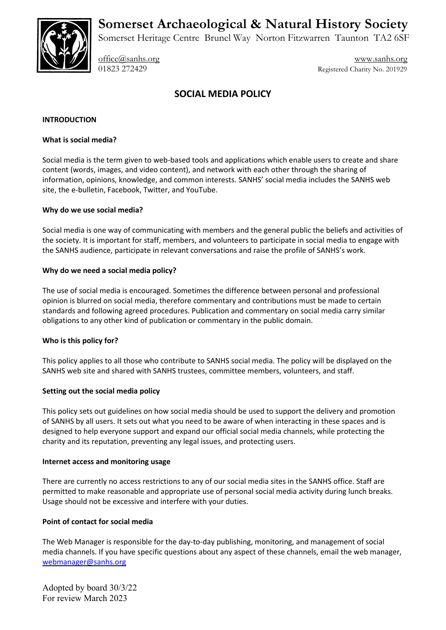**Somerset Archaeological & Natural History Society**



Somerset Heritage Centre Brunel Way Norton Fitzwarren Taunton TA2 6SF

[office@sanhs.org](mailto:office@sanhs.org) [www.sanhs.org](http://www.sanhs.org/) 01823 272429 Registered Charity No. 201929

# **SOCIAL MEDIA POLICY**

### **INTRODUCTION**

### **What is social media?**

Social media is the term given to web-based tools and applications which enable users to create and share content (words, images, and video content), and network with each other through the sharing of information, opinions, knowledge, and common interests. SANHS' social media includes the SANHS web site, the e-bulletin, Facebook, Twitter, and YouTube.

### **Why do we use social media?**

Social media is one way of communicating with members and the general public the beliefs and activities of the society. It is important for staff, members, and volunteers to participate in social media to engage with the SANHS audience, participate in relevant conversations and raise the profile of SANHS's work.

### **Why do we need a social media policy?**

The use of social media is encouraged. Sometimes the difference between personal and professional opinion is blurred on social media, therefore commentary and contributions must be made to certain standards and following agreed procedures. Publication and commentary on social media carry similar obligations to any other kind of publication or commentary in the public domain.

### **Who is this policy for?**

This policy applies to all those who contribute to SANHS social media. The policy will be displayed on the SANHS web site and shared with SANHS trustees, committee members, volunteers, and staff.

### **Setting out the social media policy**

This policy sets out guidelines on how social media should be used to support the delivery and promotion of SANHS by all users. It sets out what you need to be aware of when interacting in these spaces and is designed to help everyone support and expand our official social media channels, while protecting the charity and its reputation, preventing any legal issues, and protecting users.

#### **Internet access and monitoring usage**

There are currently no access restrictions to any of our social media sites in the SANHS office. Staff are permitted to make reasonable and appropriate use of personal social media activity during lunch breaks. Usage should not be excessive and interfere with your duties.

### **Point of contact for social media**

The Web Manager is responsible for the day-to-day publishing, monitoring, and management of social media channels. If you have specific questions about any aspect of these channels, email the web manager, [webmanager@sanhs.org](mailto:webmanager@sanhs.org)

Adopted by board 30/3/22 For review March 2023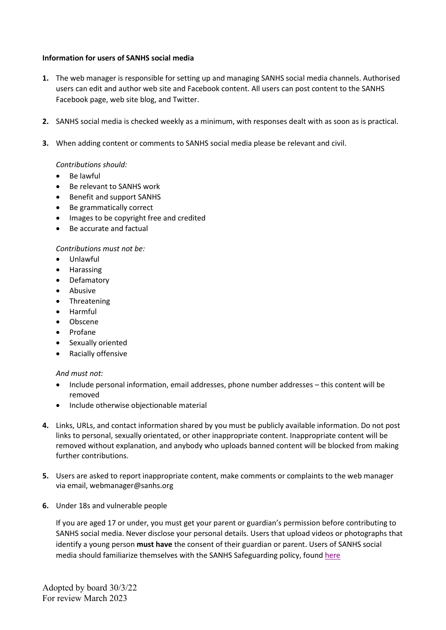### **Information for users of SANHS social media**

- **1.** The web manager is responsible for setting up and managing SANHS social media channels. Authorised users can edit and author web site and Facebook content. All users can post content to the SANHS Facebook page, web site blog, and Twitter.
- **2.** SANHS social media is checked weekly as a minimum, with responses dealt with as soon as is practical.
- **3.** When adding content or comments to SANHS social media please be relevant and civil.

### *Contributions should:*

- Be lawful
- Be relevant to SANHS work
- Benefit and support SANHS
- Be grammatically correct
- Images to be copyright free and credited
- Be accurate and factual

*Contributions must not be:*

- Unlawful
- Harassing
- Defamatory
- Abusive
- Threatening
- Harmful
- Obscene
- Profane
- Sexually oriented
- Racially offensive

#### *And must not:*

- Include personal information, email addresses, phone number addresses this content will be removed
- Include otherwise objectionable material
- **4.** Links, URLs, and contact information shared by you must be publicly available information. Do not post links to personal, sexually orientated, or other inappropriate content. Inappropriate content will be removed without explanation, and anybody who uploads banned content will be blocked from making further contributions.
- **5.** Users are asked to report inappropriate content, make comments or complaints to the web manager via email, webmanager@sanhs.org
- **6.** Under 18s and vulnerable people

If you are aged 17 or under, you must get your parent or guardian's permission before contributing to SANHS social media. Never disclose your personal details. Users that upload videos or photographs that identify a young person **must have** the consent of their guardian or parent. Users of SANHS social media should familiarize themselves with the SANHS Safeguarding policy, found [here](https://sanhs.org/wp-content/uploads/2019/07/SANHS-Welfare-Policy-2019_2020.pdf)